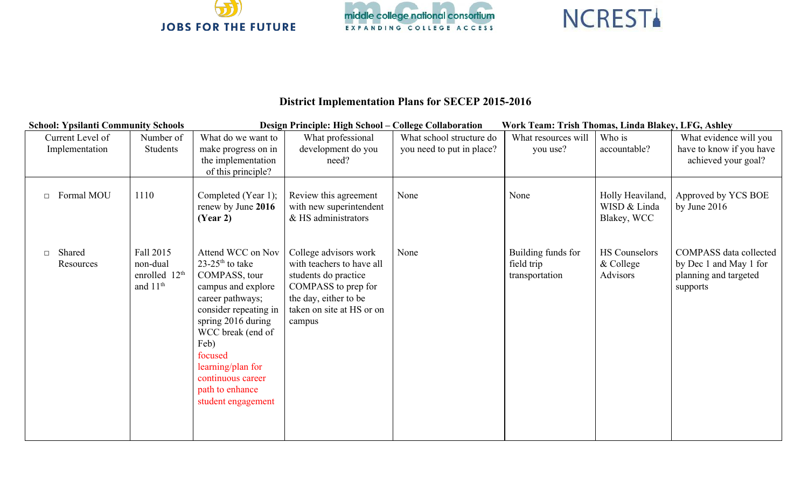





## **District Implementation Plans for SECEP 20152016**

| <b>School: Ypsilanti Community Schools</b> |                           | Design Principle: High School - College Collaboration<br>Work Team: Trish Thomas, Linda Blakey, LFG, Ashley |                                     |                           |                     |                      |                               |  |
|--------------------------------------------|---------------------------|-------------------------------------------------------------------------------------------------------------|-------------------------------------|---------------------------|---------------------|----------------------|-------------------------------|--|
| Current Level of                           | Number of                 | What do we want to                                                                                          | What professional                   | What school structure do  | What resources will | Who is               | What evidence will you        |  |
| Implementation                             | Students                  | make progress on in                                                                                         | development do you                  | you need to put in place? | you use?            | accountable?         | have to know if you have      |  |
|                                            |                           | the implementation                                                                                          | need?                               |                           |                     |                      | achieved your goal?           |  |
|                                            |                           | of this principle?                                                                                          |                                     |                           |                     |                      |                               |  |
| Formal MOU<br>$\Box$                       | 1110                      | Completed (Year 1);                                                                                         | Review this agreement               | None                      | None                | Holly Heaviland,     | Approved by YCS BOE           |  |
|                                            |                           | renew by June 2016                                                                                          | with new superintendent             |                           |                     | WISD & Linda         | by June $2016$                |  |
|                                            |                           | (Year 2)                                                                                                    | & HS administrators                 |                           |                     | Blakey, WCC          |                               |  |
|                                            |                           |                                                                                                             |                                     |                           |                     |                      |                               |  |
| Shared<br>$\Box$                           | Fall 2015                 | Attend WCC on Nov                                                                                           | College advisors work               | None                      | Building funds for  | <b>HS Counselors</b> | <b>COMPASS</b> data collected |  |
| Resources                                  | non-dual                  | $23-25$ <sup>th</sup> to take                                                                               | with teachers to have all           |                           | field trip          | & College            | by Dec 1 and May 1 for        |  |
|                                            | enrolled 12 <sup>th</sup> | COMPASS, tour                                                                                               | students do practice                |                           | transportation      | <b>Advisors</b>      | planning and targeted         |  |
|                                            | and 11 <sup>th</sup>      | campus and explore                                                                                          | COMPASS to prep for                 |                           |                     |                      | supports                      |  |
|                                            |                           | career pathways;                                                                                            | the day, either to be               |                           |                     |                      |                               |  |
|                                            |                           | consider repeating in<br>spring 2016 during                                                                 | taken on site at HS or on<br>campus |                           |                     |                      |                               |  |
|                                            |                           | WCC break (end of                                                                                           |                                     |                           |                     |                      |                               |  |
|                                            |                           | Feb)                                                                                                        |                                     |                           |                     |                      |                               |  |
|                                            |                           | focused                                                                                                     |                                     |                           |                     |                      |                               |  |
|                                            |                           | learning/plan for                                                                                           |                                     |                           |                     |                      |                               |  |
|                                            |                           | continuous career                                                                                           |                                     |                           |                     |                      |                               |  |
|                                            |                           | path to enhance<br>student engagement                                                                       |                                     |                           |                     |                      |                               |  |
|                                            |                           |                                                                                                             |                                     |                           |                     |                      |                               |  |
|                                            |                           |                                                                                                             |                                     |                           |                     |                      |                               |  |
|                                            |                           |                                                                                                             |                                     |                           |                     |                      |                               |  |